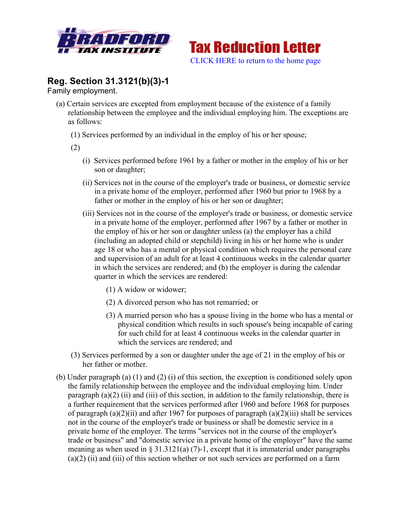



## **Reg. Section 31.3121(b)(3)-1**

Family employment.

- (a) Certain services are excepted from employment because of the existence of a family relationship between the employee and the individual employing him. The exceptions are as follows:
	- (1) Services performed by an individual in the employ of his or her spouse;
	- (2)
		- (i) Services performed before 1961 by a father or mother in the employ of his or her son or daughter;
		- (ii) Services not in the course of the employer's trade or business, or domestic service in a private home of the employer, performed after 1960 but prior to 1968 by a father or mother in the employ of his or her son or daughter;
		- (iii) Services not in the course of the employer's trade or business, or domestic service in a private home of the employer, performed after 1967 by a father or mother in the employ of his or her son or daughter unless (a) the employer has a child (including an adopted child or stepchild) living in his or her home who is under age 18 or who has a mental or physical condition which requires the personal care and supervision of an adult for at least 4 continuous weeks in the calendar quarter in which the services are rendered; and (b) the employer is during the calendar quarter in which the services are rendered:
			- (1) A widow or widower;
			- (2) A divorced person who has not remarried; or
			- (3) A married person who has a spouse living in the home who has a mental or physical condition which results in such spouse's being incapable of caring for such child for at least 4 continuous weeks in the calendar quarter in which the services are rendered; and
	- (3) Services performed by a son or daughter under the age of 21 in the employ of his or her father or mother.
- (b) Under paragraph (a) (1) and (2) (i) of this section, the exception is conditioned solely upon the family relationship between the employee and the individual employing him. Under paragraph  $(a)(2)$  (ii) and (iii) of this section, in addition to the family relationship, there is a further requirement that the services performed after 1960 and before 1968 for purposes of paragraph (a)(2)(ii) and after 1967 for purposes of paragraph (a)(2)(iii) shall be services not in the course of the employer's trade or business or shall be domestic service in a private home of the employer. The terms "services not in the course of the employer's trade or business" and "domestic service in a private home of the employer" have the same meaning as when used in § 31.3121(a) (7)-1, except that it is immaterial under paragraphs  $(a)(2)$  (ii) and (iii) of this section whether or not such services are performed on a farm